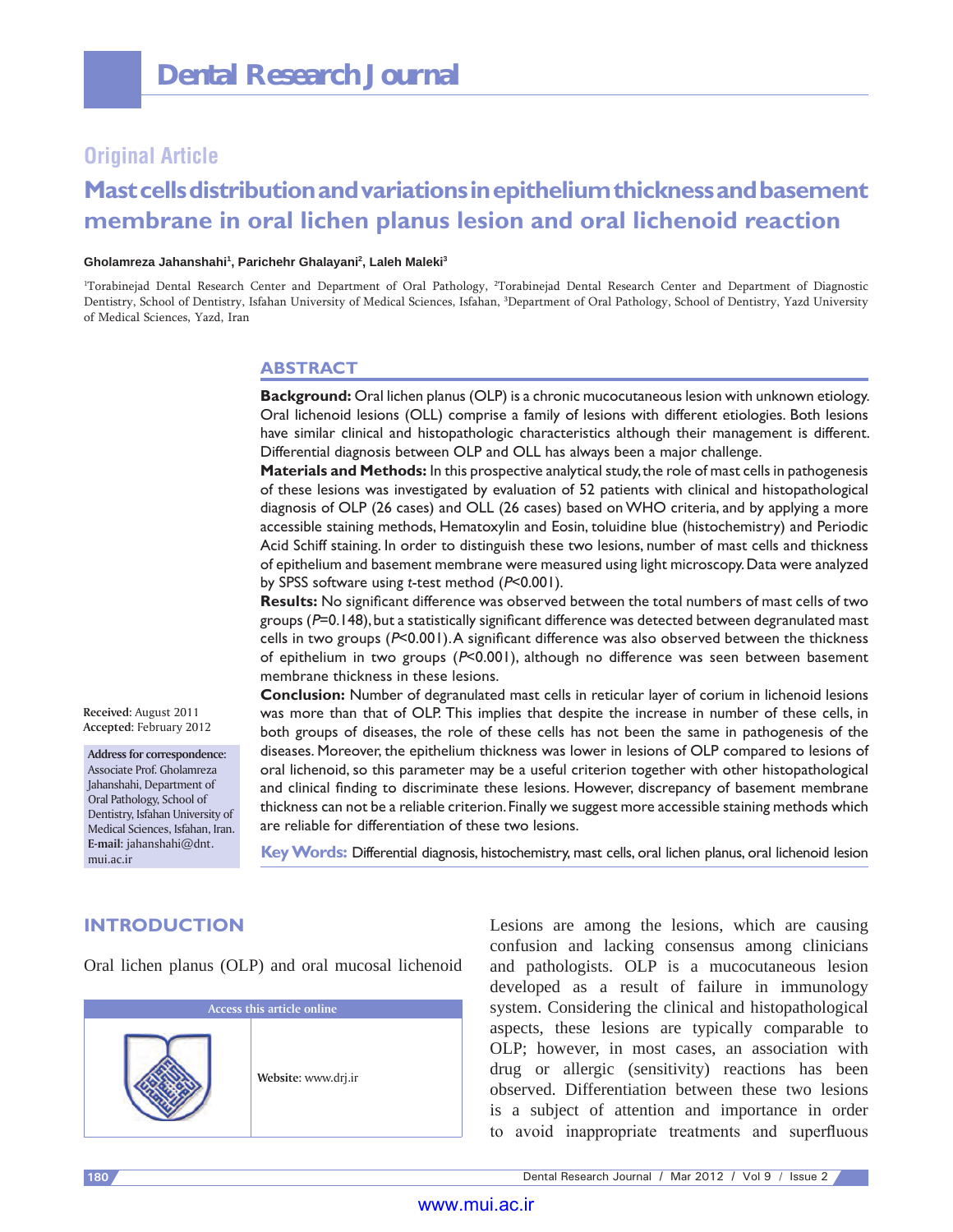## **Original Article**

# **Mast cells distribution and variations in epithelium thickness and basement membrane in oral lichen planus lesion and oral lichenoid reaction**

#### **Gholamreza Jahanshahi1 , Parichehr Ghalayani2 , Laleh Maleki3**

<sup>1</sup>Torabinejad Dental Research Center and Department of Oral Pathology, <sup>2</sup>Torabinejad Dental Research Center and Department of Diagnostic Dentistry, School of Dentistry, Isfahan University of Medical Sciences, Isfahan, <sup>3</sup>Department of Oral Pathology, School of Dentistry, Yazd University of Medical Sciences, Yazd, Iran

## **ABSTRACT**

**Background:** Oral lichen planus (OLP) is a chronic mucocutaneous lesion with unknown etiology. Oral lichenoid lesions (OLL) comprise a family of lesions with different etiologies. Both lesions have similar clinical and histopathologic characteristics although their management is different. Differential diagnosis between OLP and OLL has always been a major challenge.

**Materials and Methods:** In this prospective analytical study, the role of mast cells in pathogenesis of these lesions was investigated by evaluation of 52 patients with clinical and histopathological diagnosis of OLP (26 cases) and OLL (26 cases) based on WHO criteria, and by applying a more accessible staining methods, Hematoxylin and Eosin, toluidine blue (histochemistry) and Periodic Acid Schiff staining. In order to distinguish these two lesions, number of mast cells and thickness of epithelium and basement membrane were measured using light microscopy. Data were analyzed by SPSS software using *t*-test method (P<0.001).

**Results:** No significant difference was observed between the total numbers of mast cells of two groups  $(P=0.148)$ , but a statistically significant difference was detected between degranulated mast cells in two groups  $(P<0.001)$ . A significant difference was also observed between the thickness of epithelium in two groups (P<0.001), although no difference was seen between basement membrane thickness in these lesions.

**Received:** August 2011 **Accepted:** February 2012

**Address for correspondence:** Associate Prof. Gholamreza Jahanshahi, Department of Oral Pathology, School of Dentistry, Isfahan University of Medical Sciences, Isfahan, Iran. **E-mail:** jahanshahi@dnt. mui.ac.ir

**Conclusion:** Number of degranulated mast cells in reticular layer of corium in lichenoid lesions was more than that of OLP. This implies that despite the increase in number of these cells, in both groups of diseases, the role of these cells has not been the same in pathogenesis of the diseases. Moreover, the epithelium thickness was lower in lesions of OLP compared to lesions of oral lichenoid, so this parameter may be a useful criterion together with other histopathological and clinical finding to discriminate these lesions. However, discrepancy of basement membrane thickness can not be a reliable criterion. Finally we suggest more accessible staining methods which are reliable for differentiation of these two lesions.

**Key Words:** Differential diagnosis, histochemistry, mast cells, oral lichen planus, oral lichenoid lesion

## **INTRODUCTION**

Oral lichen planus (OLP) and oral mucosal lichenoid

| Access this article online |                     |
|----------------------------|---------------------|
|                            | Website: www.drj.ir |

Lesions are among the lesions, which are causing confusion and lacking consensus among clinicians and pathologists. OLP is a mucocutaneous lesion developed as a result of failure in immunology system. Considering the clinical and histopathological aspects, these lesions are typically comparable to OLP; however, in most cases, an association with drug or allergic (sensitivity) reactions has been observed. Differentiation between these two lesions is a subject of attention and importance in order to avoid inappropriate treatments and superfluous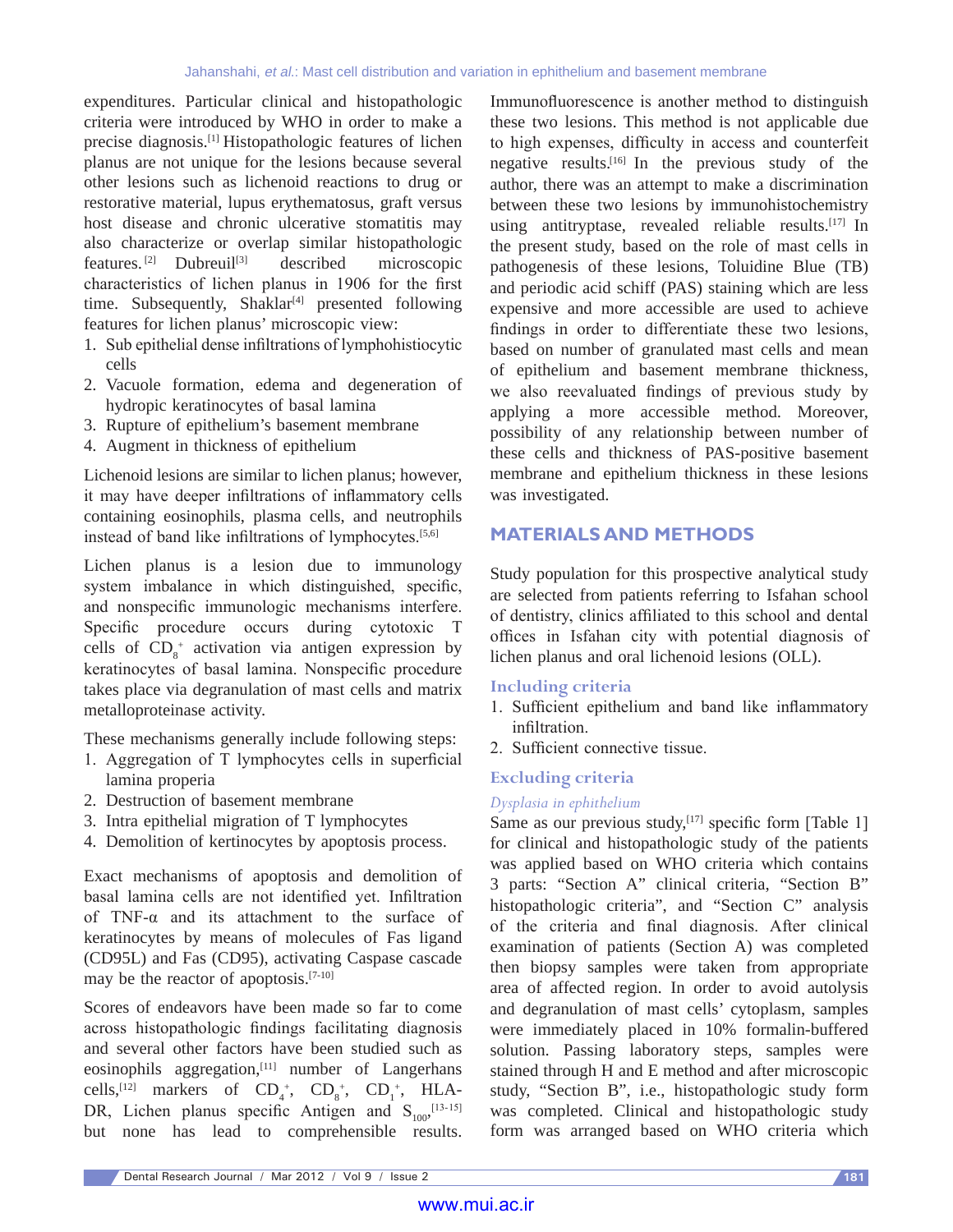expenditures. Particular clinical and histopathologic criteria were introduced by WHO in order to make a precise diagnosis.[1] Histopathologic features of lichen planus are not unique for the lesions because several other lesions such as lichenoid reactions to drug or restorative material, lupus erythematosus, graft versus host disease and chronic ulcerative stomatitis may also characterize or overlap similar histopathologic features. [2] Dubreuil[3] described microscopic characteristics of lichen planus in 1906 for the first time. Subsequently, Shaklar<sup>[4]</sup> presented following features for lichen planus' microscopic view:

- 1. Sub epithelial dense infiltrations of lymphohistiocytic cells
- 2. Vacuole formation, edema and degeneration of hydropic keratinocytes of basal lamina
- 3. Rupture of epithelium's basement membrane
- 4. Augment in thickness of epithelium

Lichenoid lesions are similar to lichen planus; however, it may have deeper infiltrations of inflammatory cells containing eosinophils, plasma cells, and neutrophils instead of band like infiltrations of lymphocytes.[5,6]

Lichen planus is a lesion due to immunology system imbalance in which distinguished, specific, and nonspecific immunologic mechanisms interfere. Specific procedure occurs during cytotoxic T cells of  $CD_8^+$  activation via antigen expression by keratinocytes of basal lamina. Nonspecific procedure takes place via degranulation of mast cells and matrix metalloproteinase activity.

These mechanisms generally include following steps:

- 1. Aggregation of T lymphocytes cells in superficial lamina properia
- 2. Destruction of basement membrane
- 3. Intra epithelial migration of T lymphocytes
- 4. Demolition of kertinocytes by apoptosis process.

Exact mechanisms of apoptosis and demolition of basal lamina cells are not identified yet. Infiltration of TNF-α and its attachment to the surface of keratinocytes by means of molecules of Fas ligand (CD95L) and Fas (CD95), activating Caspase cascade may be the reactor of apoptosis.[7-10]

Scores of endeavors have been made so far to come across histopathologic findings facilitating diagnosis and several other factors have been studied such as eosinophils aggregation,<sup>[11]</sup> number of Langerhans cells,<sup>[12]</sup> markers of  $CD_4^+$ ,  $CD_8^+$ ,  $CD_1^+$ , HLA-DR, Lichen planus specific Antigen and  $S_{100}$ , [13-15] but none has lead to comprehensible results.

Immunofluorescence is another method to distinguish these two lesions. This method is not applicable due to high expenses, difficulty in access and counterfeit negative results.[16] In the previous study of the author, there was an attempt to make a discrimination between these two lesions by immunohistochemistry using antitryptase, revealed reliable results.<sup>[17]</sup> In the present study, based on the role of mast cells in pathogenesis of these lesions, Toluidine Blue (TB) and periodic acid schiff (PAS) staining which are less expensive and more accessible are used to achieve findings in order to differentiate these two lesions, based on number of granulated mast cells and mean of epithelium and basement membrane thickness, we also reevaluated findings of previous study by applying a more accessible method. Moreover, possibility of any relationship between number of these cells and thickness of PAS-positive basement membrane and epithelium thickness in these lesions was investigated.

## **MATERIALS AND METHODS**

Study population for this prospective analytical study are selected from patients referring to Isfahan school of dentistry, clinics affiliated to this school and dental offices in Isfahan city with potential diagnosis of lichen planus and oral lichenoid lesions (OLL).

#### **Including criteria**

- 1. Sufficient epithelium and band like inflammatory infiltration.
- 2. Sufficient connective tissue.

#### **Excluding criteria**

#### *Dysplasia in ephithelium*

Same as our previous study, $[17]$  specific form [Table 1] for clinical and histopathologic study of the patients was applied based on WHO criteria which contains 3 parts: "Section A" clinical criteria, "Section B" histopathologic criteria", and "Section C" analysis of the criteria and final diagnosis. After clinical examination of patients (Section A) was completed then biopsy samples were taken from appropriate area of affected region. In order to avoid autolysis and degranulation of mast cells' cytoplasm, samples were immediately placed in 10% formalin-buffered solution. Passing laboratory steps, samples were stained through H and E method and after microscopic study, "Section B", i.e., histopathologic study form was completed. Clinical and histopathologic study form was arranged based on WHO criteria which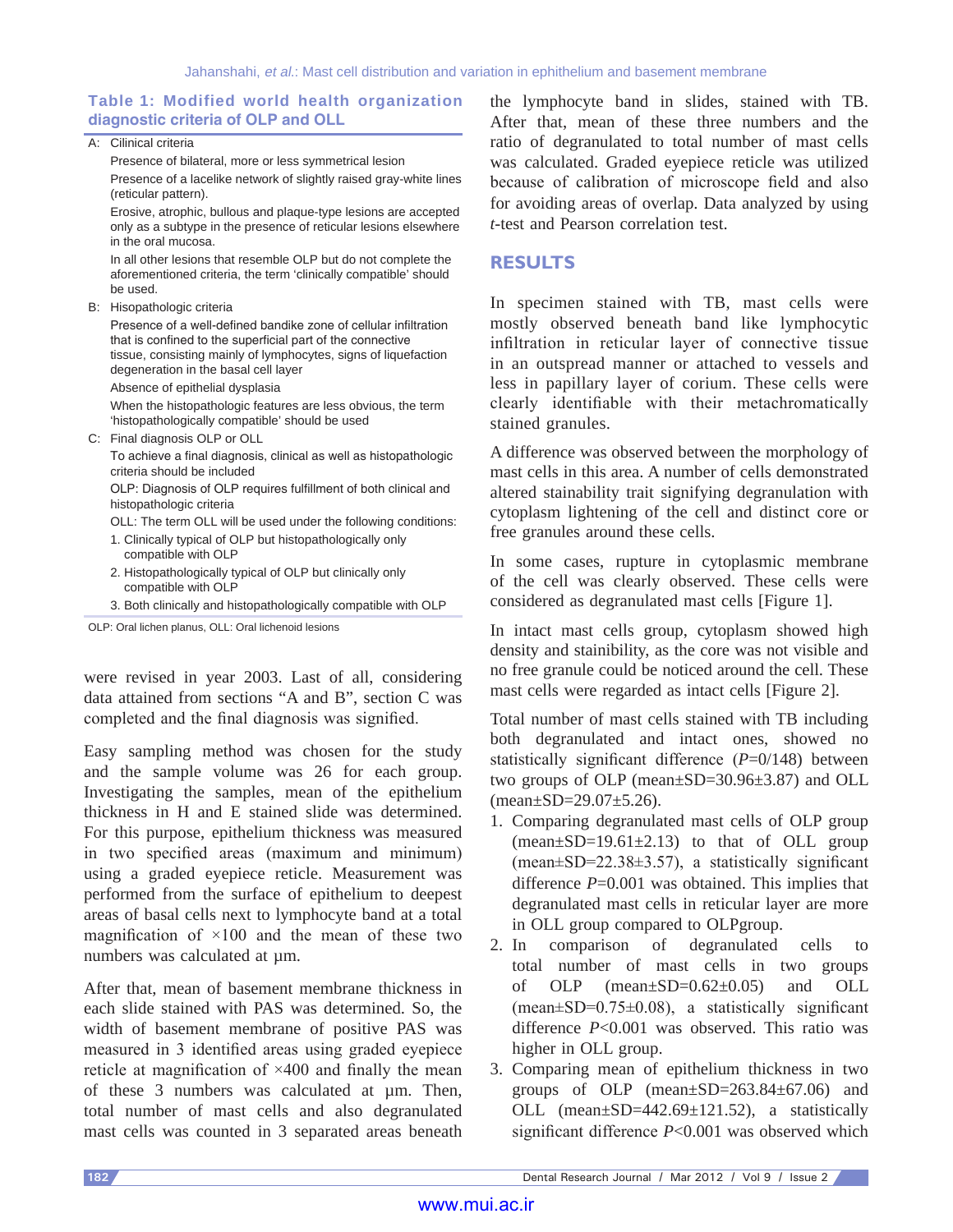#### **Table 1: Modified world health organization diagnostic criteria of OLP and OLL**

A: Cilinical criteria Presence of bilateral, more or less symmetrical lesion Presence of a lacelike network of slightly raised gray-white lines (reticular pattern). Erosive, atrophic, bullous and plaque-type lesions are accepted only as a subtype in the presence of reticular lesions elsewhere in the oral mucosa. In all other lesions that resemble OLP but do not complete the aforementioned criteria, the term 'clinically compatible' should be used. B: Hisopathologic criteria Presence of a well-defined bandike zone of cellular infiltration that is confined to the superficial part of the connective tissue, consisting mainly of lymphocytes, signs of liquefaction degeneration in the basal cell layer Absence of epithelial dysplasia When the histopathologic features are less obvious, the term 'histopathologically compatible' should be used C: Final diagnosis OLP or OLL To achieve a final diagnosis, clinical as well as histopathologic criteria should be included OLP: Diagnosis of OLP requires fulfillment of both clinical and histopathologic criteria OLL: The term OLL will be used under the following conditions: 1. Clinically typical of OLP but histopathologically only compatible with OLP 2. Histopathologically typical of OLP but clinically only compatible with OLP

3. Both clinically and histopathologically compatible with OLP

OLP: Oral lichen planus, OLL: Oral lichenoid lesions

were revised in year 2003. Last of all, considering data attained from sections "A and B", section C was completed and the final diagnosis was signified.

Easy sampling method was chosen for the study and the sample volume was 26 for each group. Investigating the samples, mean of the epithelium thickness in H and E stained slide was determined. For this purpose, epithelium thickness was measured in two specified areas (maximum and minimum) using a graded eyepiece reticle. Measurement was performed from the surface of epithelium to deepest areas of basal cells next to lymphocyte band at a total magnification of  $\times 100$  and the mean of these two numbers was calculated at  $\mu$ m.

After that, mean of basement membrane thickness in each slide stained with PAS was determined. So, the width of basement membrane of positive PAS was measured in 3 identified areas using graded eyepiece reticle at magnification of ×400 and finally the mean of these 3 numbers was calculated at µm. Then, total number of mast cells and also degranulated mast cells was counted in 3 separated areas beneath the lymphocyte band in slides, stained with TB. After that, mean of these three numbers and the ratio of degranulated to total number of mast cells was calculated. Graded eyepiece reticle was utilized because of calibration of microscope field and also for avoiding areas of overlap. Data analyzed by using *t*-test and Pearson correlation test.

## **RESULTS**

In specimen stained with TB, mast cells were mostly observed beneath band like lymphocytic infiltration in reticular layer of connective tissue in an outspread manner or attached to vessels and less in papillary layer of corium. These cells were clearly identifiable with their metachromatically stained granules.

A difference was observed between the morphology of mast cells in this area. A number of cells demonstrated altered stainability trait signifying degranulation with cytoplasm lightening of the cell and distinct core or free granules around these cells.

In some cases, rupture in cytoplasmic membrane of the cell was clearly observed. These cells were considered as degranulated mast cells [Figure 1].

In intact mast cells group, cytoplasm showed high density and stainibility, as the core was not visible and no free granule could be noticed around the cell. These mast cells were regarded as intact cells [Figure 2].

Total number of mast cells stained with TB including both degranulated and intact ones, showed no statistically significant difference (*P*=0/148) between two groups of OLP (mean±SD=30.96±3.87) and OLL  $mean \pm SD = 29.07 \pm 5.26$ .

- 1. Comparing degranulated mast cells of OLP group  $(mean \pm SD = 19.61 \pm 2.13)$  to that of OLL group  $(mean \pm SD = 22.38 \pm 3.57)$ , a statistically significant difference *P*=0.001 was obtained. This implies that degranulated mast cells in reticular layer are more in OLL group compared to OLPgroup.
- 2. In comparison of degranulated cells to total number of mast cells in two groups of OLP (mean±SD=0.62±0.05) and OLL  $(mean \pm SD = 0.75 \pm 0.08)$ , a statistically significant difference *P*<0.001 was observed. This ratio was higher in OLL group.
- 3. Comparing mean of epithelium thickness in two groups of OLP (mean±SD=263.84±67.06) and OLL (mean±SD=442.69±121.52), a statistically significant difference *P*<0.001 was observed which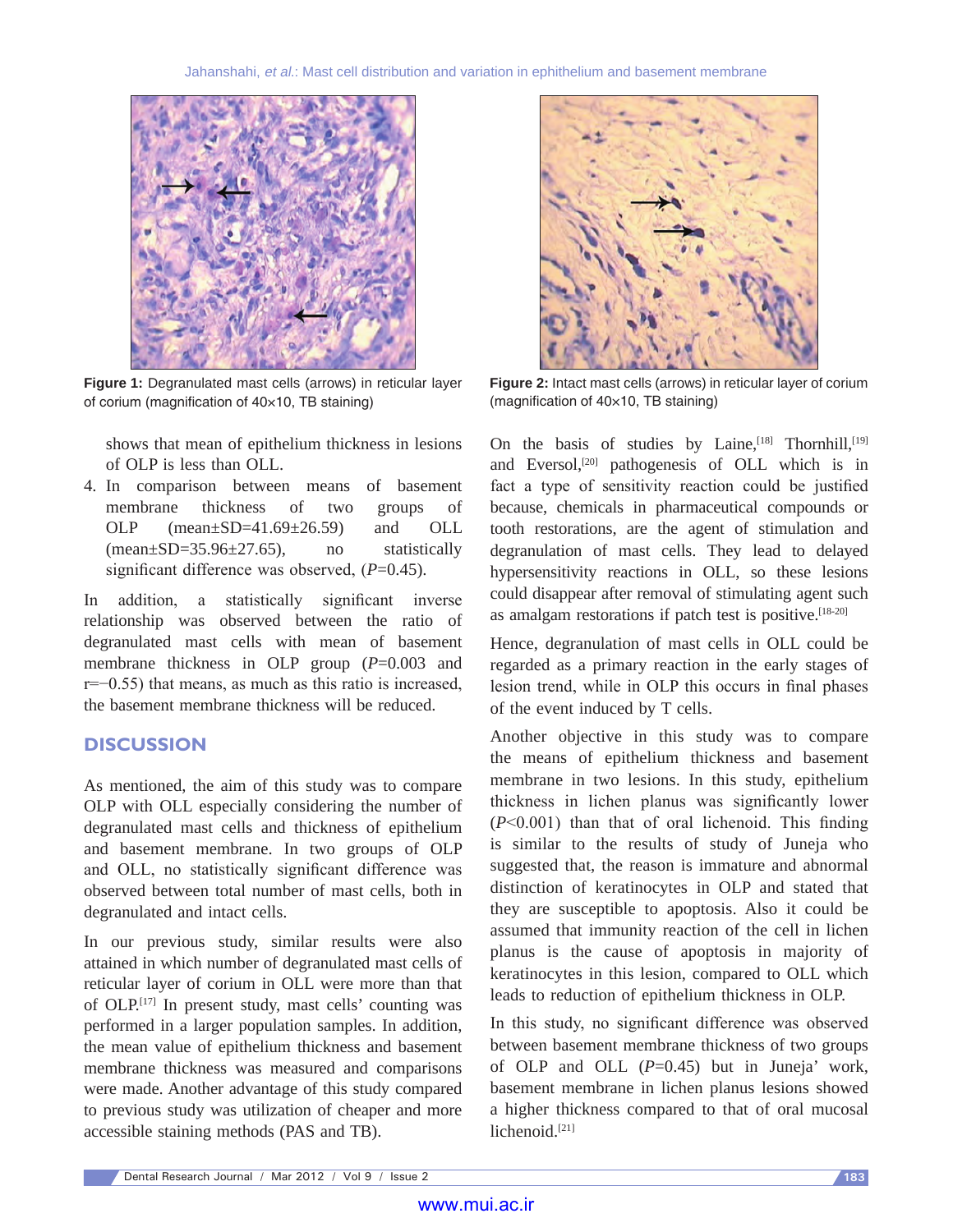

**Figure 1:** Degranulated mast cells (arrows) in reticular layer of corium (magnification of 40×10, TB staining)

shows that mean of epithelium thickness in lesions of OLP is less than OLL.

4. In comparison between means of basement membrane thickness of two groups of OLP  $(mean+SD=41.69+26.59)$  and OLL  $(mean \pm SD = 35.96 \pm 27.65)$ , no statistically significant difference was observed, (*P*=0.45).

In addition, a statistically significant inverse relationship was observed between the ratio of degranulated mast cells with mean of basement membrane thickness in OLP group (*P*=0.003 and r=−0.55) that means, as much as this ratio is increased, the basement membrane thickness will be reduced.

## **DISCUSSION**

As mentioned, the aim of this study was to compare OLP with OLL especially considering the number of degranulated mast cells and thickness of epithelium and basement membrane. In two groups of OLP and OLL, no statistically significant difference was observed between total number of mast cells, both in degranulated and intact cells.

In our previous study, similar results were also attained in which number of degranulated mast cells of reticular layer of corium in OLL were more than that of OLP.[17] In present study, mast cells' counting was performed in a larger population samples. In addition, the mean value of epithelium thickness and basement membrane thickness was measured and comparisons were made. Another advantage of this study compared to previous study was utilization of cheaper and more accessible staining methods (PAS and TB).



**Figure 2:** Intact mast cells (arrows) in reticular layer of corium (magnification of 40×10, TB staining)

On the basis of studies by Laine,<sup>[18]</sup> Thornhill,<sup>[19]</sup> and Eversol,<sup>[20]</sup> pathogenesis of OLL which is in fact a type of sensitivity reaction could be justified because, chemicals in pharmaceutical compounds or tooth restorations, are the agent of stimulation and degranulation of mast cells. They lead to delayed hypersensitivity reactions in OLL, so these lesions could disappear after removal of stimulating agent such as amalgam restorations if patch test is positive.[18-20]

Hence, degranulation of mast cells in OLL could be regarded as a primary reaction in the early stages of lesion trend, while in OLP this occurs in final phases of the event induced by T cells.

Another objective in this study was to compare the means of epithelium thickness and basement membrane in two lesions. In this study, epithelium thickness in lichen planus was significantly lower (*P*<0.001) than that of oral lichenoid. This finding is similar to the results of study of Juneja who suggested that, the reason is immature and abnormal distinction of keratinocytes in OLP and stated that they are susceptible to apoptosis. Also it could be assumed that immunity reaction of the cell in lichen planus is the cause of apoptosis in majority of keratinocytes in this lesion, compared to OLL which leads to reduction of epithelium thickness in OLP.

In this study, no significant difference was observed between basement membrane thickness of two groups of OLP and OLL (*P*=0.45) but in Juneja' work, basement membrane in lichen planus lesions showed a higher thickness compared to that of oral mucosal lichenoid.<sup>[21]</sup>